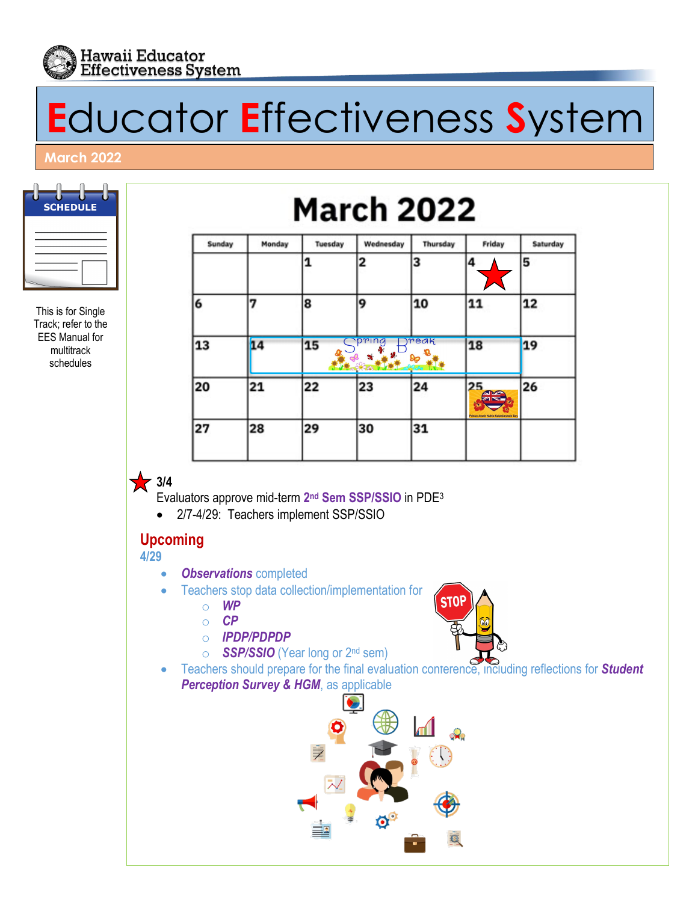

# **E**ducator **E**ffectiveness **S**ystem

#### **March 2022**



This is for Single Track; refer to the EES Manual for multitrack schedules

# **March 2022**

| Monday | Tuesday | Wednesday    | Thursday | Friday                                | Saturday |
|--------|---------|--------------|----------|---------------------------------------|----------|
|        | 1       | 2            | 3        | 4                                     | 5        |
| 7      | 8       | lg,          | 10       | 11                                    | 12       |
| 14     | 15      | pring<br>- 9 |          | 18                                    | 19       |
| 21     | 22      | 23           | 24       | 25<br><b>AKA</b><br>Г×                | 26       |
| 28     | 29      | 30           | 31       | Prince Jonah Kuhlo Kalanianaole Day   |          |
|        |         |              | Je Ra    | reak<br>$\infty$<br><b>COLLECTION</b> |          |

**1** 3/4

Evaluators approve mid-term **2nd Sem SSP/SSIO** in PDE3

• 2/7-4/29: Teachers implement SSP/SSIO

## **Upcoming**

**4/29**

- *Observations* completed
- Teachers stop data collection/implementation for
	- o *WP*
	- o *CP*
	- o *IPDP/PDPDP*
	- *SSP/SSIO* (Year long or 2<sup>nd</sup> sem)
- Teachers should prepare for the final evaluation conterence, including reflections for **Student Perception Survey & HGM**, as applicable

**STOP**